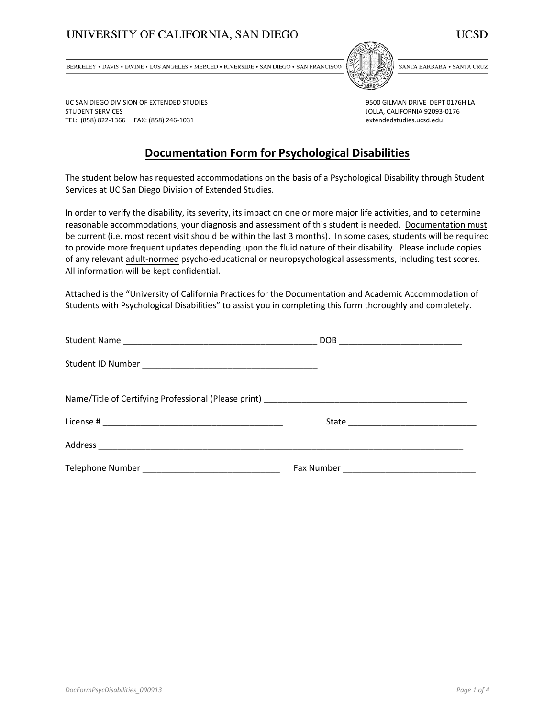## UNIVERSITY OF CALIFORNIA, SAN DIEGO



BERKELEY . DAVIS . IRVINE . LOS ANGELES . MERCED . RIVERSIDE . SAN DIEGO . SAN FRANCISCO



SANTA BARBARA . SANTA CRUZ

UC SAN DIEGO DIVISION OF EXTENDED STUDIES STUDENT SERVICES TEL: (858) 822-1366 FAX: (858) 246-1031

9500 GILMAN DRIVE DEPT 0176H LA JOLLA, CALIFORNIA 92093-0176 extendedstudies.ucsd.edu

## **Documentation Form for Psychological Disabilities**

The student below has requested accommodations on the basis of a Psychological Disability through Student Services at UC San Diego Division of Extended Studies.

In order to verify the disability, its severity, its impact on one or more major life activities, and to determine reasonable accommodations, your diagnosis and assessment of this student is needed. Documentation must be current (i.e. most recent visit should be within the last 3 months). In some cases, students will be required to provide more frequent updates depending upon the fluid nature of their disability. Please include copies of any relevant adult-normed psycho-educational or neuropsychological assessments, including test scores. All information will be kept confidential.

Attached is the "University of California Practices for the Documentation and Academic Accommodation of Students with Psychological Disabilities" to assist you in completing this form thoroughly and completely.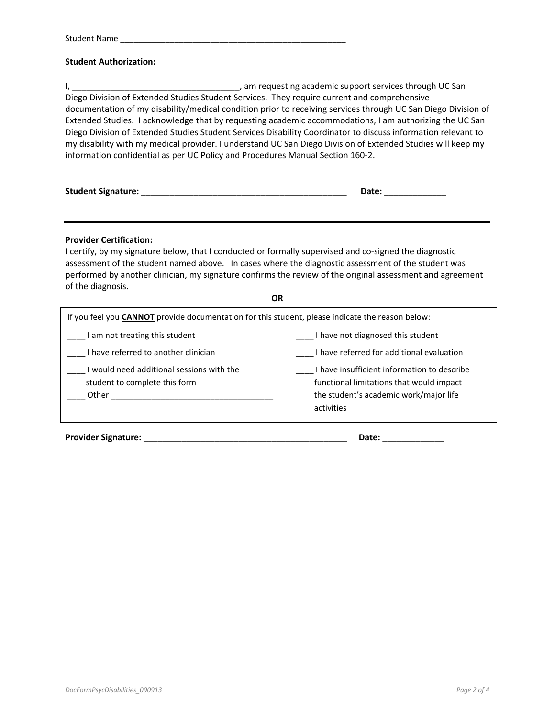## **Student Authorization:**

I, \_\_\_\_\_\_\_\_\_\_\_\_\_\_\_\_\_\_\_\_\_\_\_\_\_\_\_\_\_\_\_\_\_\_\_, am requesting academic support services through UC San Diego Division of Extended Studies Student Services. They require current and comprehensive documentation of my disability/medical condition prior to receiving services through UC San Diego Division of Extended Studies. I acknowledge that by requesting academic accommodations, I am authorizing the UC San Diego Division of Extended Studies Student Services Disability Coordinator to discuss information relevant to my disability with my medical provider. I understand UC San Diego Division of Extended Studies will keep my information confidential as per UC Policy and Procedures Manual Section 160-2.

| <b>Student Signature:</b> | Date: |
|---------------------------|-------|
|---------------------------|-------|

## **Provider Certification:**

I certify, by my signature below, that I conducted or formally supervised and co-signed the diagnostic assessment of the student named above. In cases where the diagnostic assessment of the student was performed by another clinician, my signature confirms the review of the original assessment and agreement of the diagnosis.

| ΟR                                                                                                      |                                                                                                                                                 |  |  |  |  |  |  |
|---------------------------------------------------------------------------------------------------------|-------------------------------------------------------------------------------------------------------------------------------------------------|--|--|--|--|--|--|
| If you feel you <b>CANNOT</b> provide documentation for this student, please indicate the reason below: |                                                                                                                                                 |  |  |  |  |  |  |
| I am not treating this student                                                                          | I have not diagnosed this student                                                                                                               |  |  |  |  |  |  |
| I have referred to another clinician                                                                    | I have referred for additional evaluation                                                                                                       |  |  |  |  |  |  |
| I would need additional sessions with the<br>student to complete this form<br>Other                     | I have insufficient information to describe<br>functional limitations that would impact<br>the student's academic work/major life<br>activities |  |  |  |  |  |  |

**Provider Signature:** \_\_\_\_\_\_\_\_\_\_\_\_\_\_\_\_\_\_\_\_\_\_\_\_\_\_\_\_\_\_\_\_\_\_\_\_\_\_\_\_\_\_\_ **Date:** \_\_\_\_\_\_\_\_\_\_\_\_\_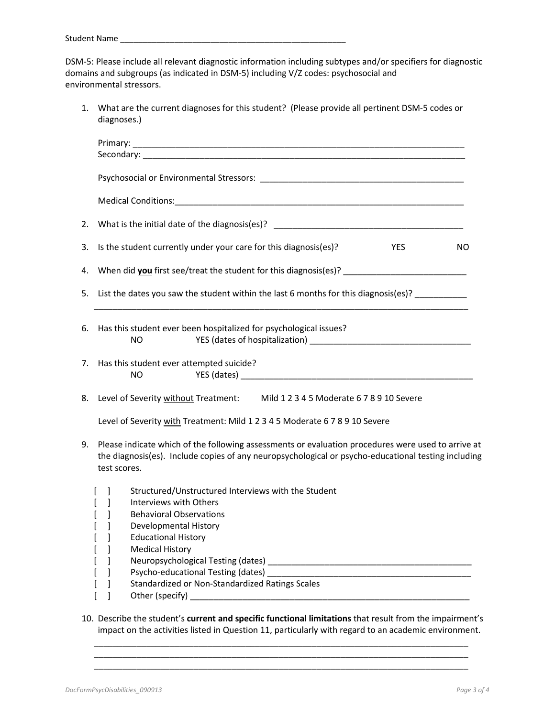DSM-5: Please include all relevant diagnostic information including subtypes and/or specifiers for diagnostic domains and subgroups (as indicated in DSM-5) including V/Z codes: psychosocial and environmental stressors.

1. What are the current diagnoses for this student? (Please provide all pertinent DSM-5 codes or diagnoses.)

| 2. | What is the initial date of the diagnosis(es)? __________________________________                                                                                                                                                         |  |  |  |  |  |  |  |  |
|----|-------------------------------------------------------------------------------------------------------------------------------------------------------------------------------------------------------------------------------------------|--|--|--|--|--|--|--|--|
| 3. | Is the student currently under your care for this diagnosis(es)?<br><b>YES</b><br>NO.                                                                                                                                                     |  |  |  |  |  |  |  |  |
| 4. |                                                                                                                                                                                                                                           |  |  |  |  |  |  |  |  |
| 5. | List the dates you saw the student within the last 6 months for this diagnosis(es)?                                                                                                                                                       |  |  |  |  |  |  |  |  |
|    | 6. Has this student ever been hospitalized for psychological issues?<br>NO                                                                                                                                                                |  |  |  |  |  |  |  |  |
|    | 7. Has this student ever attempted suicide?<br>NO.                                                                                                                                                                                        |  |  |  |  |  |  |  |  |
|    | 8. Level of Severity without Treatment: Mild 1 2 3 4 5 Moderate 6 7 8 9 10 Severe                                                                                                                                                         |  |  |  |  |  |  |  |  |
|    | Level of Severity with Treatment: Mild 1 2 3 4 5 Moderate 6 7 8 9 10 Severe                                                                                                                                                               |  |  |  |  |  |  |  |  |
| 9. | Please indicate which of the following assessments or evaluation procedures were used to arrive at<br>the diagnosis(es). Include copies of any neuropsychological or psycho-educational testing including<br>test scores.                 |  |  |  |  |  |  |  |  |
|    | Structured/Unstructured Interviews with the Student<br>$\perp$<br>Interviews with Others<br>1<br>1<br><b>Behavioral Observations</b><br>1<br>Developmental History<br><b>Educational History</b><br><b>Medical History</b><br>J<br>J<br>1 |  |  |  |  |  |  |  |  |
|    | Standardized or Non-Standardized Ratings Scales<br>1<br>1                                                                                                                                                                                 |  |  |  |  |  |  |  |  |
|    | 10. Describe the student's current and specific functional limitations that result from the impairment's                                                                                                                                  |  |  |  |  |  |  |  |  |

impact on the activities listed in Question 11, particularly with regard to an academic environment. \_\_\_\_\_\_\_\_\_\_\_\_\_\_\_\_\_\_\_\_\_\_\_\_\_\_\_\_\_\_\_\_\_\_\_\_\_\_\_\_\_\_\_\_\_\_\_\_\_\_\_\_\_\_\_\_\_\_\_\_\_\_\_\_\_\_\_\_\_\_\_\_\_\_\_\_\_\_\_

\_\_\_\_\_\_\_\_\_\_\_\_\_\_\_\_\_\_\_\_\_\_\_\_\_\_\_\_\_\_\_\_\_\_\_\_\_\_\_\_\_\_\_\_\_\_\_\_\_\_\_\_\_\_\_\_\_\_\_\_\_\_\_\_\_\_\_\_\_\_\_\_\_\_\_\_\_\_\_ \_\_\_\_\_\_\_\_\_\_\_\_\_\_\_\_\_\_\_\_\_\_\_\_\_\_\_\_\_\_\_\_\_\_\_\_\_\_\_\_\_\_\_\_\_\_\_\_\_\_\_\_\_\_\_\_\_\_\_\_\_\_\_\_\_\_\_\_\_\_\_\_\_\_\_\_\_\_\_